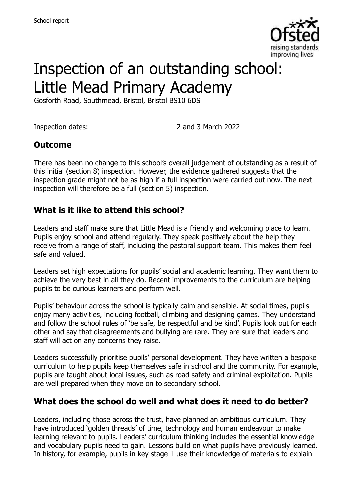

# Inspection of an outstanding school: Little Mead Primary Academy

Gosforth Road, Southmead, Bristol, Bristol BS10 6DS

Inspection dates: 2 and 3 March 2022

### **Outcome**

There has been no change to this school's overall judgement of outstanding as a result of this initial (section 8) inspection. However, the evidence gathered suggests that the inspection grade might not be as high if a full inspection were carried out now. The next inspection will therefore be a full (section 5) inspection.

### **What is it like to attend this school?**

Leaders and staff make sure that Little Mead is a friendly and welcoming place to learn. Pupils enjoy school and attend regularly. They speak positively about the help they receive from a range of staff, including the pastoral support team. This makes them feel safe and valued.

Leaders set high expectations for pupils' social and academic learning. They want them to achieve the very best in all they do. Recent improvements to the curriculum are helping pupils to be curious learners and perform well.

Pupils' behaviour across the school is typically calm and sensible. At social times, pupils enjoy many activities, including football, climbing and designing games. They understand and follow the school rules of 'be safe, be respectful and be kind'. Pupils look out for each other and say that disagreements and bullying are rare. They are sure that leaders and staff will act on any concerns they raise.

Leaders successfully prioritise pupils' personal development. They have written a bespoke curriculum to help pupils keep themselves safe in school and the community. For example, pupils are taught about local issues, such as road safety and criminal exploitation. Pupils are well prepared when they move on to secondary school.

### **What does the school do well and what does it need to do better?**

Leaders, including those across the trust, have planned an ambitious curriculum. They have introduced 'golden threads' of time, technology and human endeavour to make learning relevant to pupils. Leaders' curriculum thinking includes the essential knowledge and vocabulary pupils need to gain. Lessons build on what pupils have previously learned. In history, for example, pupils in key stage 1 use their knowledge of materials to explain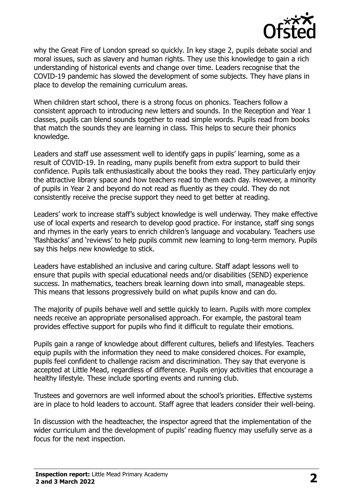

why the Great Fire of London spread so quickly. In key stage 2, pupils debate social and moral issues, such as slavery and human rights. They use this knowledge to gain a rich understanding of historical events and change over time. Leaders recognise that the COVID-19 pandemic has slowed the development of some subjects. They have plans in place to develop the remaining curriculum areas.

When children start school, there is a strong focus on phonics. Teachers follow a consistent approach to introducing new letters and sounds. In the Reception and Year 1 classes, pupils can blend sounds together to read simple words. Pupils read from books that match the sounds they are learning in class. This helps to secure their phonics knowledge.

Leaders and staff use assessment well to identify gaps in pupils' learning, some as a result of COVID-19. In reading, many pupils benefit from extra support to build their confidence. Pupils talk enthusiastically about the books they read. They particularly enjoy the attractive library space and how teachers read to them each day. However, a minority of pupils in Year 2 and beyond do not read as fluently as they could. They do not consistently receive the precise support they need to get better at reading.

Leaders' work to increase staff's subject knowledge is well underway. They make effective use of local experts and research to develop good practice. For instance, staff sing songs and rhymes in the early years to enrich children's language and vocabulary. Teachers use 'flashbacks' and 'reviews' to help pupils commit new learning to long-term memory. Pupils say this helps new knowledge to stick.

Leaders have established an inclusive and caring culture. Staff adapt lessons well to ensure that pupils with special educational needs and/or disabilities (SEND) experience success. In mathematics, teachers break learning down into small, manageable steps. This means that lessons progressively build on what pupils know and can do.

The majority of pupils behave well and settle quickly to learn. Pupils with more complex needs receive an appropriate personalised approach. For example, the pastoral team provides effective support for pupils who find it difficult to regulate their emotions.

Pupils gain a range of knowledge about different cultures, beliefs and lifestyles. Teachers equip pupils with the information they need to make considered choices. For example, pupils feel confident to challenge racism and discrimination. They say that everyone is accepted at Little Mead, regardless of difference. Pupils enjoy activities that encourage a healthy lifestyle. These include sporting events and running club.

Trustees and governors are well informed about the school's priorities. Effective systems are in place to hold leaders to account. Staff agree that leaders consider their well-being.

In discussion with the headteacher, the inspector agreed that the implementation of the wider curriculum and the development of pupils' reading fluency may usefully serve as a focus for the next inspection.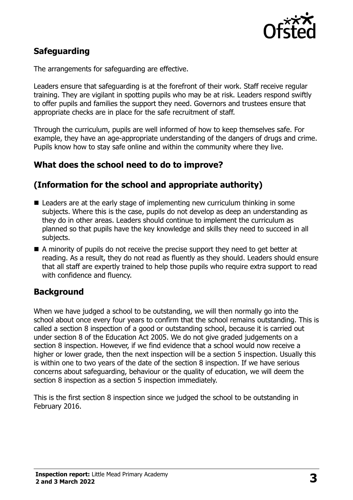

# **Safeguarding**

The arrangements for safeguarding are effective.

Leaders ensure that safeguarding is at the forefront of their work. Staff receive regular training. They are vigilant in spotting pupils who may be at risk. Leaders respond swiftly to offer pupils and families the support they need. Governors and trustees ensure that appropriate checks are in place for the safe recruitment of staff.

Through the curriculum, pupils are well informed of how to keep themselves safe. For example, they have an age-appropriate understanding of the dangers of drugs and crime. Pupils know how to stay safe online and within the community where they live.

# **What does the school need to do to improve?**

# **(Information for the school and appropriate authority)**

- Leaders are at the early stage of implementing new curriculum thinking in some subjects. Where this is the case, pupils do not develop as deep an understanding as they do in other areas. Leaders should continue to implement the curriculum as planned so that pupils have the key knowledge and skills they need to succeed in all subjects.
- A minority of pupils do not receive the precise support they need to get better at reading. As a result, they do not read as fluently as they should. Leaders should ensure that all staff are expertly trained to help those pupils who require extra support to read with confidence and fluency.

### **Background**

When we have judged a school to be outstanding, we will then normally go into the school about once every four years to confirm that the school remains outstanding. This is called a section 8 inspection of a good or outstanding school, because it is carried out under section 8 of the Education Act 2005. We do not give graded judgements on a section 8 inspection. However, if we find evidence that a school would now receive a higher or lower grade, then the next inspection will be a section 5 inspection. Usually this is within one to two years of the date of the section 8 inspection. If we have serious concerns about safeguarding, behaviour or the quality of education, we will deem the section 8 inspection as a section 5 inspection immediately.

This is the first section 8 inspection since we judged the school to be outstanding in February 2016.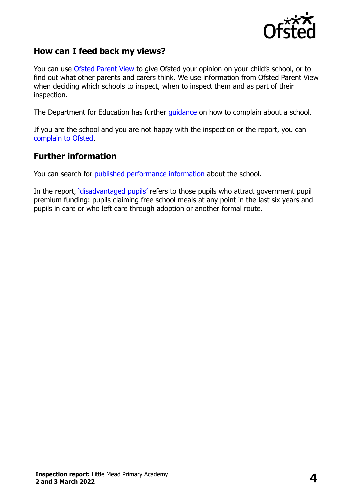

### **How can I feed back my views?**

You can use [Ofsted Parent View](https://parentview.ofsted.gov.uk/) to give Ofsted your opinion on your child's school, or to find out what other parents and carers think. We use information from Ofsted Parent View when deciding which schools to inspect, when to inspect them and as part of their inspection.

The Department for Education has further [guidance](http://www.gov.uk/complain-about-school) on how to complain about a school.

If you are the school and you are not happy with the inspection or the report, you can [complain to Ofsted.](https://www.gov.uk/complain-ofsted-report)

#### **Further information**

You can search for [published performance information](http://www.compare-school-performance.service.gov.uk/) about the school.

In the report, '[disadvantaged pupils](http://www.gov.uk/guidance/pupil-premium-information-for-schools-and-alternative-provision-settings)' refers to those pupils who attract government pupil premium funding: pupils claiming free school meals at any point in the last six years and pupils in care or who left care through adoption or another formal route.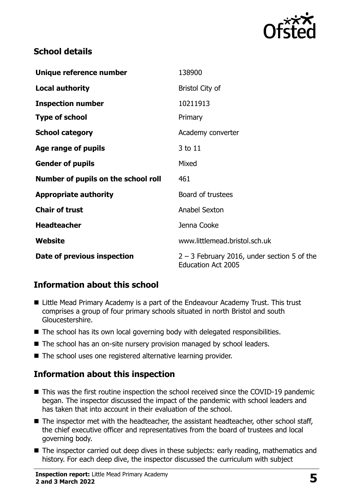

# **School details**

| Unique reference number             | 138900                                                                     |
|-------------------------------------|----------------------------------------------------------------------------|
| <b>Local authority</b>              | <b>Bristol City of</b>                                                     |
| <b>Inspection number</b>            | 10211913                                                                   |
| <b>Type of school</b>               | Primary                                                                    |
| <b>School category</b>              | Academy converter                                                          |
| Age range of pupils                 | 3 to 11                                                                    |
| <b>Gender of pupils</b>             | Mixed                                                                      |
| Number of pupils on the school roll | 461                                                                        |
| <b>Appropriate authority</b>        | Board of trustees                                                          |
| <b>Chair of trust</b>               | Anabel Sexton                                                              |
| <b>Headteacher</b>                  | Jenna Cooke                                                                |
| Website                             | www.littlemead.bristol.sch.uk                                              |
| Date of previous inspection         | $2 - 3$ February 2016, under section 5 of the<br><b>Education Act 2005</b> |

# **Information about this school**

- Little Mead Primary Academy is a part of the Endeavour Academy Trust. This trust comprises a group of four primary schools situated in north Bristol and south Gloucestershire.
- $\blacksquare$  The school has its own local governing body with delegated responsibilities.
- The school has an on-site nursery provision managed by school leaders.
- The school uses one registered alternative learning provider.

# **Information about this inspection**

- This was the first routine inspection the school received since the COVID-19 pandemic began. The inspector discussed the impact of the pandemic with school leaders and has taken that into account in their evaluation of the school.
- The inspector met with the headteacher, the assistant headteacher, other school staff, the chief executive officer and representatives from the board of trustees and local governing body.
- The inspector carried out deep dives in these subjects: early reading, mathematics and history. For each deep dive, the inspector discussed the curriculum with subject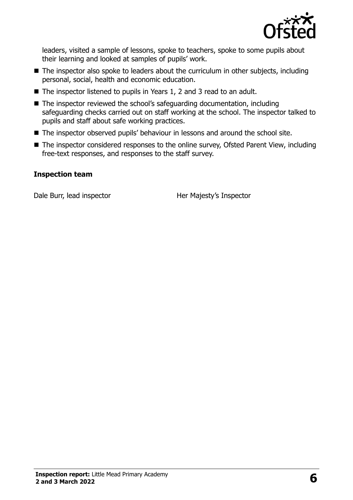

leaders, visited a sample of lessons, spoke to teachers, spoke to some pupils about their learning and looked at samples of pupils' work.

- The inspector also spoke to leaders about the curriculum in other subjects, including personal, social, health and economic education.
- The inspector listened to pupils in Years 1, 2 and 3 read to an adult.
- The inspector reviewed the school's safeguarding documentation, including safeguarding checks carried out on staff working at the school. The inspector talked to pupils and staff about safe working practices.
- The inspector observed pupils' behaviour in lessons and around the school site.
- The inspector considered responses to the online survey, Ofsted Parent View, including free-text responses, and responses to the staff survey.

#### **Inspection team**

Dale Burr, lead inspector Her Majesty's Inspector